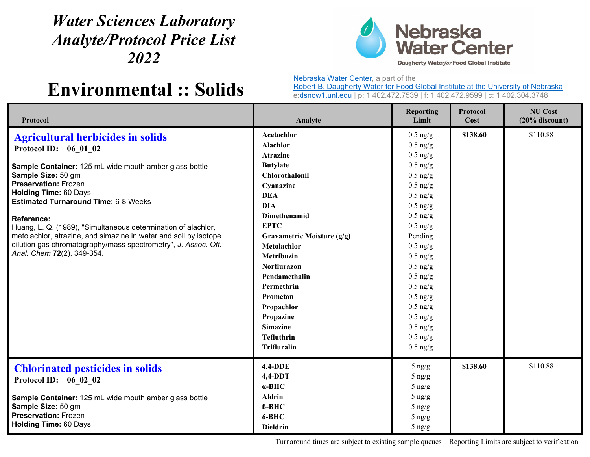## *Water Sciences Laboratory Analyte/Protocol Price List 2022*



## **Environmental :: Solids**

Nebraska Water Center, a part of the

Robert B. Daugherty Water for Food Global Institute at the University of Nebraska e:dsnow1.unl.edu | p: 1 402.472.7539 | f: 1 402.472.9599 | c: 1 402.304.3748

| Protocol                                                                                                                                                                                                                                                                                                                                                                                                                                                                                                           | Analyte                                                                                                                                                                                                                                                                                                        | <b>Reporting</b><br>Limit                                                                                                                                                                                                                             | Protocol<br>Cost | <b>NU Cost</b><br>$(20%$ discount) |
|--------------------------------------------------------------------------------------------------------------------------------------------------------------------------------------------------------------------------------------------------------------------------------------------------------------------------------------------------------------------------------------------------------------------------------------------------------------------------------------------------------------------|----------------------------------------------------------------------------------------------------------------------------------------------------------------------------------------------------------------------------------------------------------------------------------------------------------------|-------------------------------------------------------------------------------------------------------------------------------------------------------------------------------------------------------------------------------------------------------|------------------|------------------------------------|
| <b>Agricultural herbicides in solids</b><br>Protocol ID: 06 01 02<br>Sample Container: 125 mL wide mouth amber glass bottle<br>Sample Size: 50 gm<br><b>Preservation: Frozen</b><br><b>Holding Time: 60 Days</b><br><b>Estimated Turnaround Time: 6-8 Weeks</b><br>Reference:<br>Huang, L. Q. (1989), "Simultaneous determination of alachlor,<br>metolachlor, atrazine, and simazine in water and soil by isotope<br>dilution gas chromatography/mass spectrometry", J. Assoc. Off.<br>Anal. Chem 72(2), 349-354. | Acetochlor<br><b>Alachlor</b><br><b>Atrazine</b><br><b>Butylate</b><br>Chlorothalonil<br>Cyanazine<br><b>DEA</b><br><b>DIA</b><br><b>Dimethenamid</b><br><b>EPTC</b><br>Gravametric Moisture (g/g)<br>Metolachlor<br>Metribuzin<br><b>Norflurazon</b><br>Pendamethalin<br>Permethrin<br>Prometon<br>Propachlor | $0.5$ ng/g<br>$0.5$ ng/g<br>$0.5$ ng/g<br>$0.5$ ng/g<br>$0.5$ ng/g<br>$0.5$ ng/g<br>$0.5$ ng/g<br>$0.5$ ng/g<br>$0.5$ ng/g<br>$0.5$ ng/g<br>Pending<br>$0.5$ ng/g<br>$0.5$ ng/g<br>$0.5$ ng/g<br>$0.5$ ng/g<br>$0.5$ ng/g<br>$0.5$ ng/g<br>$0.5$ ng/g | \$138.60         | \$110.88                           |
|                                                                                                                                                                                                                                                                                                                                                                                                                                                                                                                    | Propazine<br><b>Simazine</b><br><b>Tefluthrin</b><br><b>Trifluralin</b><br>4,4-DDE                                                                                                                                                                                                                             | $0.5$ ng/g<br>$0.5$ ng/g<br>$0.5$ ng/g<br>$0.5$ ng/g<br>$5 \n{ng/g}$                                                                                                                                                                                  | \$138.60         | \$110.88                           |
| <b>Chlorinated pesticides in solids</b><br>Protocol ID: 06 02 02<br>Sample Container: 125 mL wide mouth amber glass bottle<br>Sample Size: 50 gm<br><b>Preservation: Frozen</b><br><b>Holding Time: 60 Days</b>                                                                                                                                                                                                                                                                                                    | $4,4-DDT$<br>$\alpha$ -BHC<br><b>Aldrin</b><br>$B-BHC$<br>$\delta$ -BHC<br><b>Dieldrin</b>                                                                                                                                                                                                                     | $5 \n{ng/g}$<br>$5 \n{ng/g}$<br>$5 \text{ ng/g}$<br>$5 \text{ ng/g}$<br>$5 \text{ ng/g}$<br>$5 \frac{\text{ng}}{\text{g}}$                                                                                                                            |                  |                                    |

Turnaround times are subject to existing sample queues Reporting Limits are subject to verification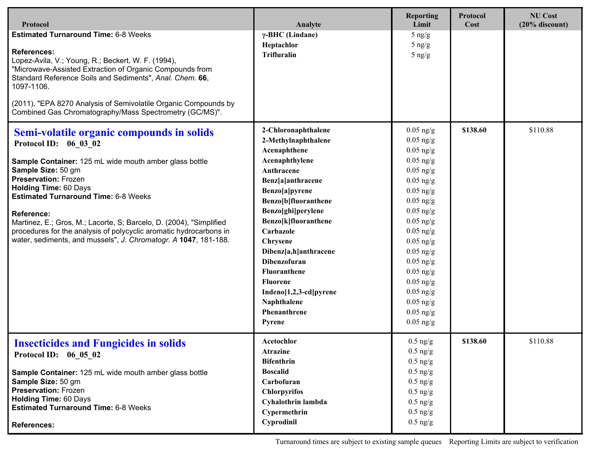| Protocol                                                                                                                                                                                                                                                                                                                                                                                                                                                                                              | Analyte                                                                                                                                                                                                                                                                                                                                                                                | <b>Reporting</b><br>Limit                                                                                                                                                                                                                                                                                | Protocol<br>Cost | <b>NU Cost</b><br>$(20%$ discount) |
|-------------------------------------------------------------------------------------------------------------------------------------------------------------------------------------------------------------------------------------------------------------------------------------------------------------------------------------------------------------------------------------------------------------------------------------------------------------------------------------------------------|----------------------------------------------------------------------------------------------------------------------------------------------------------------------------------------------------------------------------------------------------------------------------------------------------------------------------------------------------------------------------------------|----------------------------------------------------------------------------------------------------------------------------------------------------------------------------------------------------------------------------------------------------------------------------------------------------------|------------------|------------------------------------|
| <b>Estimated Turnaround Time: 6-8 Weeks</b><br><b>References:</b><br>Lopez-Avila, V.; Young, R.; Beckert, W. F. (1994),<br>"Microwave-Assisted Extraction of Organic Compounds from<br>Standard Reference Soils and Sediments", Anal. Chem. 66,<br>1097-1106.<br>(2011), "EPA 8270 Analysis of Semivolatile Organic Compounds by<br>Combined Gas Chromatography/Mass Spectrometry (GC/MS)".                                                                                                           | $\gamma$ -BHC (Lindane)<br>Heptachlor<br><b>Trifluralin</b>                                                                                                                                                                                                                                                                                                                            | $5$ ng/g<br>$5$ ng/g<br>$5$ ng/g                                                                                                                                                                                                                                                                         |                  |                                    |
| Semi-volatile organic compounds in solids<br>Protocol ID: 06 03 02<br>Sample Container: 125 mL wide mouth amber glass bottle<br>Sample Size: 50 gm<br><b>Preservation: Frozen</b><br><b>Holding Time: 60 Days</b><br><b>Estimated Turnaround Time: 6-8 Weeks</b><br><b>Reference:</b><br>Martinez, E.; Gros, M.; Lacorte, S; Barcelo, D. (2004), "Simplified<br>procedures for the analysis of polycyclic aromatic hydrocarbons in<br>water, sediments, and mussels", J. Chromatogr. A 1047, 181-188. | 2-Chloronaphthalene<br>2-Methylnaphthalene<br>Acenaphthene<br>Acenaphthylene<br>Anthracene<br>Benz[a]anthracene<br>Benzo[a]pyrene<br>Benzo[b]fluoranthene<br>Benzo[ghi]perylene<br>Benzo[k]fluoranthene<br>Carbazole<br>Chrysene<br>Dibenz[a,h]anthracene<br><b>Dibenzofuran</b><br>Fluoranthene<br><b>Fluorene</b><br>Indeno[1,2,3-cd]pyrene<br>Naphthalene<br>Phenanthrene<br>Pyrene | $0.05$ ng/g<br>$0.05$ ng/g<br>$0.05$ ng/g<br>$0.05$ ng/g<br>$0.05$ ng/g<br>$0.05$ ng/g<br>$0.05$ ng/g<br>$0.05$ ng/g<br>$0.05$ ng/g<br>$0.05$ ng/g<br>$0.05$ ng/g<br>$0.05$ ng/g<br>$0.05$ ng/g<br>$0.05$ ng/g<br>$0.05$ ng/g<br>$0.05$ ng/g<br>$0.05$ ng/g<br>$0.05$ ng/g<br>$0.05$ ng/g<br>$0.05$ ng/g | \$138.60         | \$110.88                           |
| <b>Insecticides and Fungicides in solids</b><br>Protocol ID: 06 05 02<br>Sample Container: 125 mL wide mouth amber glass bottle<br>Sample Size: 50 gm<br><b>Preservation: Frozen</b><br><b>Holding Time: 60 Days</b><br><b>Estimated Turnaround Time: 6-8 Weeks</b><br><b>References:</b>                                                                                                                                                                                                             | Acetochlor<br><b>Atrazine</b><br><b>Bifenthrin</b><br><b>Boscalid</b><br>Carbofuran<br><b>Chlorpyrifos</b><br>Cyhalothrin lambda<br>Cypermethrin<br>Cyprodinil                                                                                                                                                                                                                         | $0.5$ ng/g<br>$0.5$ ng/g<br>$0.5$ ng/g<br>$0.5 \text{ ng/g}$<br>$0.5 \text{ ng/g}$<br>$0.5 \text{ ng/g}$<br>$0.5 \text{ ng/g}$<br>$0.5 \text{ ng/g}$<br>$0.5$ ng/g                                                                                                                                       | \$138.60         | \$110.88                           |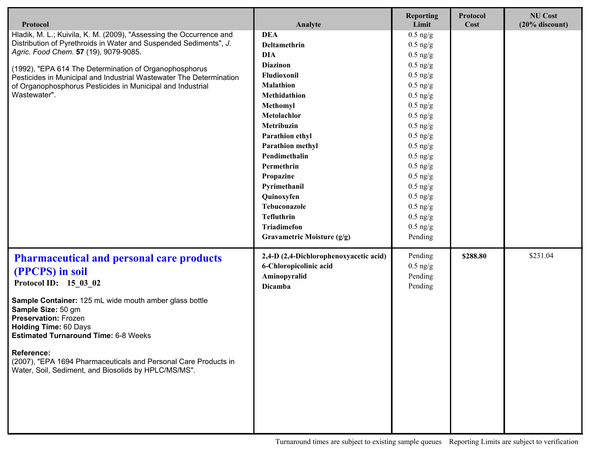| Protocol                                                                                                                                                                                                                                                                                                                                                                                                                                   | Analyte                                                                                                                                                                                                                                                                                                                                                                  | <b>Reporting</b><br>Limit                                                                                                                                                                                                                                                                       | Protocol<br>Cost | <b>NU Cost</b><br>$(20%$ discount) |
|--------------------------------------------------------------------------------------------------------------------------------------------------------------------------------------------------------------------------------------------------------------------------------------------------------------------------------------------------------------------------------------------------------------------------------------------|--------------------------------------------------------------------------------------------------------------------------------------------------------------------------------------------------------------------------------------------------------------------------------------------------------------------------------------------------------------------------|-------------------------------------------------------------------------------------------------------------------------------------------------------------------------------------------------------------------------------------------------------------------------------------------------|------------------|------------------------------------|
| Hladik, M. L.; Kuivila, K. M. (2009), "Assessing the Occurrence and<br>Distribution of Pyrethroids in Water and Suspended Sediments", J.<br>Agric. Food Chem. 57 (19), 9079-9085.<br>(1992), "EPA 614 The Determination of Organophosphorus<br>Pesticides in Municipal and Industrial Wastewater The Determination<br>of Organophosphorus Pesticides in Municipal and Industrial<br>Wastewater".                                           | <b>DEA</b><br>Deltamethrin<br><b>DIA</b><br><b>Diazinon</b><br>Fludioxonil<br><b>Malathion</b><br>Methidathion<br>Methomyl<br>Metolachlor<br>Metribuzin<br>Parathion ethyl<br><b>Parathion methyl</b><br>Pendimethalin<br>Permethrin<br>Propazine<br>Pyrimethanil<br>Quinoxyfen<br>Tebuconazole<br><b>Tefluthrin</b><br><b>Triadimefon</b><br>Gravametric Moisture (g/g) | $0.5$ ng/g<br>$0.5$ ng/g<br>$0.5$ ng/g<br>$0.5$ ng/g<br>$0.5$ ng/g<br>$0.5$ ng/g<br>$0.5$ ng/g<br>$0.5$ ng/g<br>$0.5$ ng/g<br>$0.5$ ng/g<br>$0.5$ ng/g<br>$0.5$ ng/g<br>$0.5$ ng/g<br>$0.5$ ng/g<br>$0.5$ ng/g<br>$0.5$ ng/g<br>$0.5$ ng/g<br>$0.5$ ng/g<br>$0.5$ ng/g<br>$0.5$ ng/g<br>Pending |                  |                                    |
| <b>Pharmaceutical and personal care products</b><br>(PPCPS) in soil<br>Protocol ID: 15 03 02<br>Sample Container: 125 mL wide mouth amber glass bottle<br>Sample Size: 50 gm<br><b>Preservation: Frozen</b><br><b>Holding Time: 60 Days</b><br><b>Estimated Turnaround Time: 6-8 Weeks</b><br><b>Reference:</b><br>(2007), "EPA 1694 Pharmaceuticals and Personal Care Products in<br>Water, Soil, Sediment, and Biosolids by HPLC/MS/MS". | 2,4-D (2,4-Dichlorophenoxyacetic acid)<br>6-Chloropicolinic acid<br>Aminopyralid<br><b>Dicamba</b>                                                                                                                                                                                                                                                                       | Pending<br>$0.5$ ng/g<br>Pending<br>Pending                                                                                                                                                                                                                                                     | \$288.80         | \$231.04                           |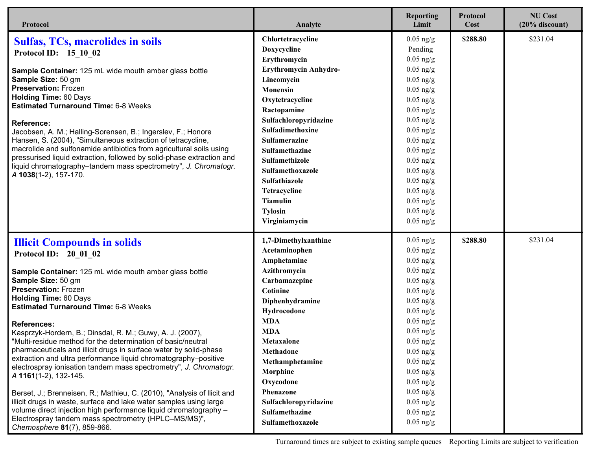| Protocol                                                                                                                             | Analyte               | <b>Reporting</b><br>Limit | Protocol<br>Cost | <b>NU Cost</b><br>$(20%$ discount) |
|--------------------------------------------------------------------------------------------------------------------------------------|-----------------------|---------------------------|------------------|------------------------------------|
| <b>Sulfas, TCs, macrolides in soils</b>                                                                                              | Chlortetracycline     | $0.05$ ng/g               | \$288.80         | \$231.04                           |
| Protocol ID: 15 10 02                                                                                                                | Doxycycline           | Pending                   |                  |                                    |
|                                                                                                                                      | Erythromycin          | $0.05$ ng/g               |                  |                                    |
| Sample Container: 125 mL wide mouth amber glass bottle                                                                               | Erythromycin Anhydro- | $0.05$ ng/g               |                  |                                    |
| Sample Size: 50 gm                                                                                                                   | Lincomycin            | $0.05$ ng/g               |                  |                                    |
| <b>Preservation: Frozen</b>                                                                                                          | <b>Monensin</b>       | $0.05$ ng/g               |                  |                                    |
| <b>Holding Time: 60 Days</b>                                                                                                         | Oxytetracycline       | $0.05$ ng/g               |                  |                                    |
| <b>Estimated Turnaround Time: 6-8 Weeks</b>                                                                                          | Ractopamine           | $0.05$ ng/g               |                  |                                    |
| <b>Reference:</b>                                                                                                                    | Sulfachloropyridazine | $0.05$ ng/g               |                  |                                    |
| Jacobsen, A. M.; Halling-Sorensen, B.; Ingerslev, F.; Honore                                                                         | Sulfadimethoxine      | $0.05$ ng/g               |                  |                                    |
| Hansen, S. (2004), "Simultaneous extraction of tetracycline,                                                                         | Sulfamerazine         | $0.05$ ng/g               |                  |                                    |
| macrolide and sulfonamide antibiotics from agricultural soils using                                                                  | Sulfamethazine        | $0.05$ ng/g               |                  |                                    |
| pressurised liquid extraction, followed by solid-phase extraction and                                                                | Sulfamethizole        | $0.05$ ng/g               |                  |                                    |
| liquid chromatography-tandem mass spectrometry", J. Chromatogr.<br>A 1038(1-2), 157-170.                                             | Sulfamethoxazole      | $0.05$ ng/g               |                  |                                    |
|                                                                                                                                      | Sulfathiazole         | $0.05$ ng/g               |                  |                                    |
|                                                                                                                                      | Tetracycline          | $0.05$ ng/g               |                  |                                    |
|                                                                                                                                      | <b>Tiamulin</b>       | $0.05$ ng/g               |                  |                                    |
|                                                                                                                                      | <b>Tylosin</b>        | $0.05$ ng/g               |                  |                                    |
|                                                                                                                                      | Virginiamycin         | $0.05$ ng/g               |                  |                                    |
| <b>Illicit Compounds in solids</b>                                                                                                   | 1,7-Dimethylxanthine  | $0.05$ ng/g               | \$288.80         | \$231.04                           |
| Protocol ID: 20 01 02                                                                                                                | Acetaminophen         | $0.05$ ng/g               |                  |                                    |
|                                                                                                                                      | Amphetamine           | $0.05$ ng/g               |                  |                                    |
| Sample Container: 125 mL wide mouth amber glass bottle                                                                               | Azithromycin          | $0.05$ ng/g               |                  |                                    |
| Sample Size: 50 gm                                                                                                                   | Carbamazepine         | $0.05$ ng/g               |                  |                                    |
| <b>Preservation: Frozen</b>                                                                                                          | Cotinine              | $0.05$ ng/g               |                  |                                    |
| <b>Holding Time: 60 Days</b>                                                                                                         | Diphenhydramine       | $0.05$ ng/g               |                  |                                    |
| <b>Estimated Turnaround Time: 6-8 Weeks</b>                                                                                          | Hydrocodone           | $0.05$ ng/g               |                  |                                    |
| <b>References:</b>                                                                                                                   | <b>MDA</b>            | $0.05$ ng/g               |                  |                                    |
| Kasprzyk-Hordern, B.; Dinsdal, R. M.; Guwy, A. J. (2007),                                                                            | <b>MDA</b>            | $0.05$ ng/g               |                  |                                    |
| "Multi-residue method for the determination of basic/neutral                                                                         | Metaxalone            | $0.05$ ng/g               |                  |                                    |
| pharmaceuticals and illicit drugs in surface water by solid-phase                                                                    | <b>Methadone</b>      | $0.05$ ng/g               |                  |                                    |
| extraction and ultra performance liquid chromatography-positive<br>electrospray ionisation tandem mass spectrometry", J. Chromatogr. | Methamphetamine       | $0.05$ ng/g               |                  |                                    |
| A 1161(1-2), 132-145.                                                                                                                | Morphine              | $0.05$ ng/g               |                  |                                    |
|                                                                                                                                      | Oxycodone             | $0.05$ ng/g               |                  |                                    |
| Berset, J.; Brenneisen, R.; Mathieu, C. (2010), "Analysis of Ilicit and                                                              | Phenazone             | $0.05$ ng/g               |                  |                                    |
| illicit drugs in waste, surface and lake water samples using large                                                                   | Sulfachloropyridazine | $0.05$ ng/g               |                  |                                    |
| volume direct injection high performance liquid chromatography -                                                                     | Sulfamethazine        | $0.05$ ng/g               |                  |                                    |
| Electrospray tandem mass spectrometry (HPLC-MS/MS)",<br>Chemosphere 81(7), 859-866.                                                  | Sulfamethoxazole      | $0.05$ ng/g               |                  |                                    |

Turnaround times are subject to existing sample queues Reporting Limits are subject to verification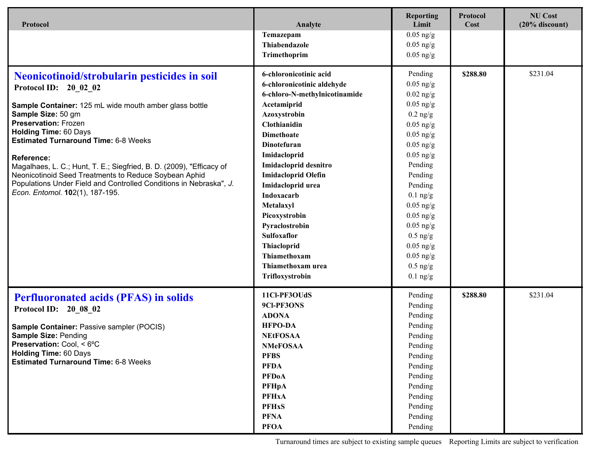| Protocol                                                                                                                                                                                                                                                                                                                                                                                                                                                                                                                           | Analyte                                                                                                                                                                                                                                                                                                                                                                                                                  | <b>Reporting</b><br>Limit                                                                                                                                                                                                                                                                          | Protocol<br>Cost | <b>NU Cost</b><br>$(20%$ discount) |
|------------------------------------------------------------------------------------------------------------------------------------------------------------------------------------------------------------------------------------------------------------------------------------------------------------------------------------------------------------------------------------------------------------------------------------------------------------------------------------------------------------------------------------|--------------------------------------------------------------------------------------------------------------------------------------------------------------------------------------------------------------------------------------------------------------------------------------------------------------------------------------------------------------------------------------------------------------------------|----------------------------------------------------------------------------------------------------------------------------------------------------------------------------------------------------------------------------------------------------------------------------------------------------|------------------|------------------------------------|
|                                                                                                                                                                                                                                                                                                                                                                                                                                                                                                                                    | Temazepam<br>Thiabendazole<br>Trimethoprim                                                                                                                                                                                                                                                                                                                                                                               | $0.05$ ng/g<br>$0.05$ ng/g<br>$0.05$ ng/g                                                                                                                                                                                                                                                          |                  |                                    |
| Neonicotinoid/strobularin pesticides in soil<br>Protocol ID: 20 02 02<br>Sample Container: 125 mL wide mouth amber glass bottle<br>Sample Size: 50 gm<br><b>Preservation: Frozen</b><br><b>Holding Time: 60 Days</b><br><b>Estimated Turnaround Time: 6-8 Weeks</b><br><b>Reference:</b><br>Magalhaes, L. C.; Hunt, T. E.; Siegfried, B. D. (2009), "Efficacy of<br>Neonicotinoid Seed Treatments to Reduce Soybean Aphid<br>Populations Under Field and Controlled Conditions in Nebraska", J.<br>Econ. Entomol. 102(1), 187-195. | 6-chloronicotinic acid<br>6-chloronicotinic aldehyde<br>6-chloro-N-methylnicotinamide<br>Acetamiprid<br>Azoxystrobin<br>Clothianidin<br><b>Dimethoate</b><br>Dinotefuran<br>Imidacloprid<br>Imidacloprid desnitro<br><b>Imidacloprid Olefin</b><br>Imidacloprid urea<br>Indoxacarb<br>Metalaxyl<br>Picoxystrobin<br>Pyraclostrobin<br>Sulfoxaflor<br>Thiacloprid<br>Thiamethoxam<br>Thiamethoxam urea<br>Trifloxystrobin | Pending<br>$0.05$ ng/g<br>$0.02$ ng/g<br>$0.05$ ng/g<br>$0.2$ ng/g<br>$0.05$ ng/g<br>$0.05$ ng/g<br>$0.05$ ng/g<br>$0.05$ ng/g<br>Pending<br>Pending<br>Pending<br>$0.1$ ng/g<br>$0.05$ ng/g<br>$0.05$ ng/g<br>$0.05$ ng/g<br>$0.5$ ng/g<br>$0.05$ ng/g<br>$0.05$ ng/g<br>$0.5$ ng/g<br>$0.1$ ng/g | \$288.80         | \$231.04                           |
| <b>Perfluoronated acids (PFAS) in solids</b><br>Protocol ID: 20 08 02<br>Sample Container: Passive sampler (POCIS)<br><b>Sample Size: Pending</b><br>Preservation: Cool, < 6°C<br><b>Holding Time: 60 Days</b><br><b>Estimated Turnaround Time: 6-8 Weeks</b>                                                                                                                                                                                                                                                                      | 11Cl-PF3OUdS<br>9Cl-PF3ONS<br><b>ADONA</b><br><b>HFPO-DA</b><br><b>NEtFOSAA</b><br><b>NMeFOSAA</b><br><b>PFBS</b><br><b>PFDA</b><br><b>PFDoA</b><br><b>PFHpA</b><br><b>PFHxA</b><br><b>PFHxS</b><br><b>PFNA</b><br><b>PFOA</b>                                                                                                                                                                                           | Pending<br>Pending<br>Pending<br>Pending<br>Pending<br>Pending<br>Pending<br>Pending<br>Pending<br>Pending<br>Pending<br>Pending<br>Pending<br>Pending                                                                                                                                             | \$288.80         | \$231.04                           |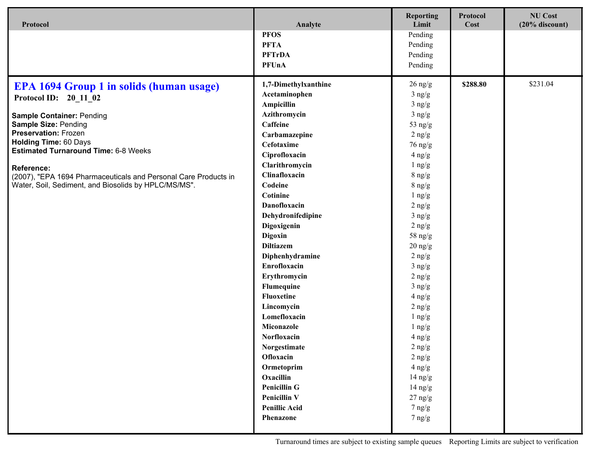| Protocol                                                        | Analyte              | <b>Reporting</b><br>Limit | Protocol<br>Cost | <b>NU Cost</b><br>$(20%$ discount) |
|-----------------------------------------------------------------|----------------------|---------------------------|------------------|------------------------------------|
|                                                                 | <b>PFOS</b>          | Pending                   |                  |                                    |
|                                                                 | <b>PFTA</b>          | Pending                   |                  |                                    |
|                                                                 | <b>PFTrDA</b>        | Pending                   |                  |                                    |
|                                                                 | <b>PFUnA</b>         | Pending                   |                  |                                    |
|                                                                 |                      |                           |                  |                                    |
| <b>EPA 1694 Group 1 in solids (human usage)</b>                 | 1,7-Dimethylxanthine | $26 \text{ ng/g}$         | \$288.80         | \$231.04                           |
| Protocol ID: 20 11 02                                           | Acetaminophen        | $3$ ng/g                  |                  |                                    |
|                                                                 | Ampicillin           | $3$ ng/g                  |                  |                                    |
| <b>Sample Container: Pending</b>                                | Azithromycin         | $3$ ng/g                  |                  |                                    |
| <b>Sample Size: Pending</b>                                     | Caffeine             | 53 ng/g                   |                  |                                    |
| <b>Preservation: Frozen</b><br><b>Holding Time: 60 Days</b>     | Carbamazepine        | $2$ ng/g                  |                  |                                    |
| <b>Estimated Turnaround Time: 6-8 Weeks</b>                     | Cefotaxime           | $76 \text{ ng/g}$         |                  |                                    |
|                                                                 | Ciprofloxacin        | $4$ ng/g                  |                  |                                    |
| <b>Reference:</b>                                               | Clarithromycin       | $1$ ng/g                  |                  |                                    |
| (2007), "EPA 1694 Pharmaceuticals and Personal Care Products in | Clinafloxacin        | $8 \text{ ng/g}$          |                  |                                    |
| Water, Soil, Sediment, and Biosolids by HPLC/MS/MS".            | Codeine              | $8 \text{ ng/g}$          |                  |                                    |
|                                                                 | Cotinine             | $1$ ng/g                  |                  |                                    |
|                                                                 | Danofloxacin         | $2$ ng/g                  |                  |                                    |
|                                                                 | Dehydronifedipine    | $3$ ng/g                  |                  |                                    |
|                                                                 | Digoxigenin          | $2$ ng/g                  |                  |                                    |
|                                                                 | Digoxin              | $58$ ng/g                 |                  |                                    |
|                                                                 | <b>Diltiazem</b>     | $20$ ng/g                 |                  |                                    |
|                                                                 | Diphenhydramine      | $2$ ng/g                  |                  |                                    |
|                                                                 | Enrofloxacin         | $3$ ng/g                  |                  |                                    |
|                                                                 | Erythromycin         | $2$ ng/g                  |                  |                                    |
|                                                                 | Flumequine           | $3$ ng/g                  |                  |                                    |
|                                                                 | <b>Fluoxetine</b>    | $4$ ng/g                  |                  |                                    |
|                                                                 | Lincomycin           | $2$ ng/g                  |                  |                                    |
|                                                                 | Lomefloxacin         | $1$ ng/g                  |                  |                                    |
|                                                                 | Miconazole           | $1$ ng/g                  |                  |                                    |
|                                                                 | Norfloxacin          | $4$ ng/g                  |                  |                                    |
|                                                                 | Norgestimate         | $2 \text{ ng/g}$          |                  |                                    |
|                                                                 | Ofloxacin            | $2$ ng/g                  |                  |                                    |
|                                                                 | Ormetoprim           | $4$ ng/g                  |                  |                                    |
|                                                                 | Oxacillin            | $14 \text{ ng/g}$         |                  |                                    |
|                                                                 | <b>Penicillin G</b>  | $14 \text{ ng/g}$         |                  |                                    |
|                                                                 | <b>Penicillin V</b>  | $27$ ng/g                 |                  |                                    |
|                                                                 | <b>Penillic Acid</b> | $7 \n  ng/g$              |                  |                                    |
|                                                                 | Phenazone            | $7 \text{ ng/g}$          |                  |                                    |
|                                                                 |                      |                           |                  |                                    |

Turnaround times are subject to existing sample queues Reporting Limits are subject to verification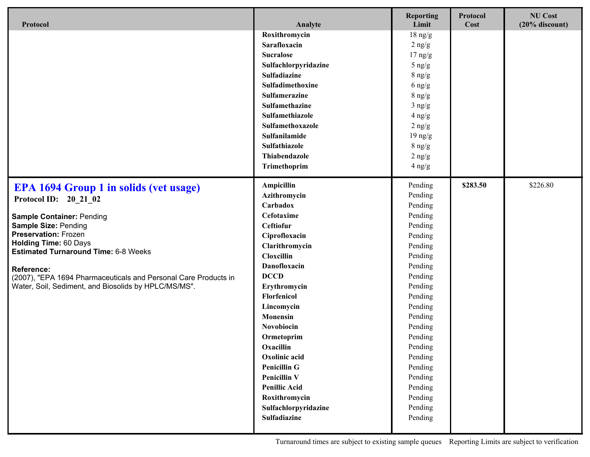| Protocol                                                                                                                | Analyte              | <b>Reporting</b><br>Limit | Protocol<br>Cost | <b>NU Cost</b><br>$(20\%$ discount) |
|-------------------------------------------------------------------------------------------------------------------------|----------------------|---------------------------|------------------|-------------------------------------|
|                                                                                                                         | Roxithromycin        | $18 \text{ ng/g}$         |                  |                                     |
|                                                                                                                         | Sarafloxacin         | $2$ ng/g                  |                  |                                     |
|                                                                                                                         | <b>Sucralose</b>     | $17 \text{ ng/g}$         |                  |                                     |
|                                                                                                                         | Sulfachlorpyridazine | $5$ ng/g                  |                  |                                     |
|                                                                                                                         | Sulfadiazine         | $8 \text{ ng/g}$          |                  |                                     |
|                                                                                                                         | Sulfadimethoxine     | $6$ ng/g                  |                  |                                     |
|                                                                                                                         | <b>Sulfamerazine</b> | $8 \text{ ng/g}$          |                  |                                     |
|                                                                                                                         | Sulfamethazine       | $3$ ng/g                  |                  |                                     |
|                                                                                                                         | Sulfamethiazole      | $4$ ng/g                  |                  |                                     |
|                                                                                                                         | Sulfamethoxazole     | $2$ ng/g                  |                  |                                     |
|                                                                                                                         | Sulfanilamide        | $19$ ng/g                 |                  |                                     |
|                                                                                                                         | Sulfathiazole        | $8 \text{ ng/g}$          |                  |                                     |
|                                                                                                                         | Thiabendazole        | $2$ ng/g                  |                  |                                     |
|                                                                                                                         | Trimethoprim         | $4$ ng/g                  |                  |                                     |
| <b>EPA 1694 Group 1 in solids (vet usage)</b>                                                                           | Ampicillin           | Pending                   | \$283.50         | \$226.80                            |
| Protocol ID: 20_21_02                                                                                                   | Azithromycin         | Pending                   |                  |                                     |
|                                                                                                                         | Carbadox             | Pending                   |                  |                                     |
| <b>Sample Container: Pending</b>                                                                                        | Cefotaxime           | Pending                   |                  |                                     |
| <b>Sample Size: Pending</b>                                                                                             | Ceftiofur            | Pending                   |                  |                                     |
| <b>Preservation: Frozen</b><br><b>Holding Time: 60 Days</b><br><b>Estimated Turnaround Time: 6-8 Weeks</b>              | Ciprofloxacin        | Pending                   |                  |                                     |
|                                                                                                                         | Clarithromycin       | Pending                   |                  |                                     |
|                                                                                                                         | Cloxcillin           | Pending                   |                  |                                     |
| <b>Reference:</b>                                                                                                       | Danofloxacin         | Pending                   |                  |                                     |
| (2007), "EPA 1694 Pharmaceuticals and Personal Care Products in<br>Water, Soil, Sediment, and Biosolids by HPLC/MS/MS". | <b>DCCD</b>          | Pending                   |                  |                                     |
|                                                                                                                         | Erythromycin         | Pending                   |                  |                                     |
|                                                                                                                         | Florfenicol          | Pending                   |                  |                                     |
|                                                                                                                         | Lincomycin           | Pending                   |                  |                                     |
|                                                                                                                         | Monensin             | Pending                   |                  |                                     |
|                                                                                                                         | Novobiocin           | Pending                   |                  |                                     |
|                                                                                                                         | Ormetoprim           | Pending                   |                  |                                     |
|                                                                                                                         | Oxacillin            | Pending                   |                  |                                     |
|                                                                                                                         | Oxolinic acid        | Pending                   |                  |                                     |
|                                                                                                                         | <b>Penicillin G</b>  | Pending                   |                  |                                     |
|                                                                                                                         | <b>Penicillin V</b>  | Pending                   |                  |                                     |
|                                                                                                                         | <b>Penillic Acid</b> | Pending                   |                  |                                     |
|                                                                                                                         | Roxithromycin        | Pending                   |                  |                                     |
|                                                                                                                         | Sulfachlorpyridazine | Pending                   |                  |                                     |
|                                                                                                                         | Sulfadiazine         | Pending                   |                  |                                     |
|                                                                                                                         |                      |                           |                  |                                     |